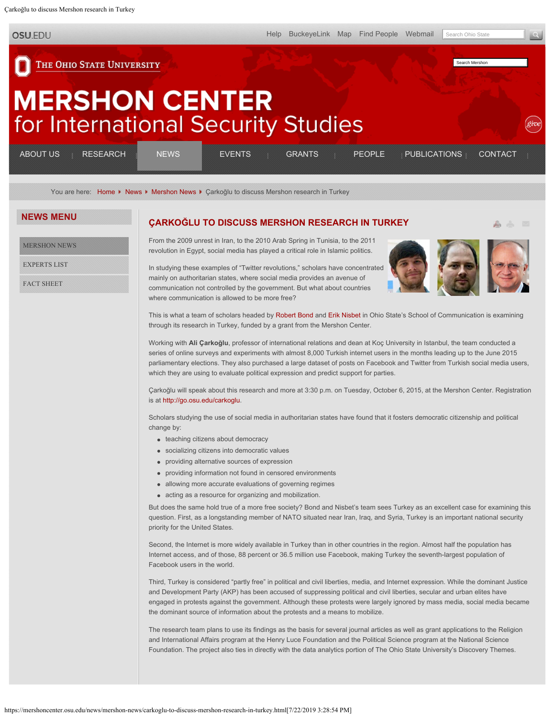<span id="page-0-0"></span>Çarkoğlu to discuss Mershon research in Turkey

**OSU.EDU** 

A A  $\overline{\mathbb{R}^n}$ 

Search Mershon

THE OHIO STATE UNIVERSITY

## **MERSHON CENTER** for International Security Studies

| ABOUT US                                                                     | -------<br>_______<br><b>RESEARCH</b>                                                                       | NFWS | EVENTS.                   | <b>GRANTS</b>                | PEOPLE           | PUBLICATIONS               | _______<br><b>CONTACT</b>                                                                                                                        |
|------------------------------------------------------------------------------|-------------------------------------------------------------------------------------------------------------|------|---------------------------|------------------------------|------------------|----------------------------|--------------------------------------------------------------------------------------------------------------------------------------------------|
| ______<br>________<br>______<br>---------<br>______<br>_____<br>-------<br>. | _______<br>---------<br>________<br>______<br>----------<br>-------<br>_______<br>.<br>_______<br>_________ |      | _____<br>______<br>______ | ______<br>______<br>-------- | ______<br>______ | ______<br>______<br>______ | _______<br>--------<br>_______<br>---------<br>----------<br>---------<br>________<br><b>ARRAIGHMENT COMMUNISTIC</b><br>___________<br>--------- |

You are here: [Home](https://mershoncenter.osu.edu/) K [News](https://mershoncenter.osu.edu/news.html) K [Mershon News](https://mershoncenter.osu.edu/news/mershon-news.html) K Carkoğlu to discuss Mershon research in Turkey

## **NEWS MENU**

[MERSHON NEWS](https://mershoncenter.osu.edu/news/mershon-news.html)

[EXPERTS LIST](https://mershoncenter.osu.edu/news/experts-list.html)

[FACT SHEET](https://mershoncenter.osu.edu/news/fact-sheet.html)

## **[ÇARKO](#page-0-0)[Ğ](#page-0-0)[LU TO DISCUSS MERSHON RESEARCH IN TURKEY](#page-0-0)**

From the 2009 unrest in Iran, to the 2010 Arab Spring in Tunisia, to the 2011 revolution in Egypt, social media has played a critical role in Islamic politics.

In studying these examples of "Twitter revolutions," scholars have concentrated mainly on authoritarian states, where social media provides an avenue of communication not controlled by the government. But what about countries where communication is allowed to be more free?



This is what a team of scholars headed by [Robert Bond](https://mershoncenter.osu.edu/people/faculty/bond-robert.html) and [Erik Nisbet](https://mershoncenter.osu.edu/people/faculty/nisbet-erik.html) in Ohio State's School of Communication is examining through its research in Turkey, funded by a grant from the Mershon Center.

Working with **Ali Çarkoğlu**, professor of international relations and dean at Koç University in Istanbul, the team conducted a series of online surveys and experiments with almost 8,000 Turkish internet users in the months leading up to the June 2015 parliamentary elections. They also purchased a large dataset of posts on Facebook and Twitter from Turkish social media users, which they are using to evaluate political expression and predict support for parties.

Çarkoğlu will speak about this research and more at 3:30 p.m. on Tuesday, October 6, 2015, at the Mershon Center. Registration is at [http://go.osu.edu/carkoglu.](https://remoteaccess.oia.ohio-state.edu:10443/proxy/http/go.osu.edu/carkoglu)

Scholars studying the use of social media in authoritarian states have found that it fosters democratic citizenship and political change by:

- teaching citizens about democracy
- socializing citizens into democratic values
- providing alternative sources of expression
- providing information not found in censored environments
- allowing more accurate evaluations of governing regimes
- acting as a resource for organizing and mobilization.

But does the same hold true of a more free society? Bond and Nisbet's team sees Turkey as an excellent case for examining this question. First, as a longstanding member of NATO situated near Iran, Iraq, and Syria, Turkey is an important national security priority for the United States.

Second, the Internet is more widely available in Turkey than in other countries in the region. Almost half the population has Internet access, and of those, 88 percent or 36.5 million use Facebook, making Turkey the seventh-largest population of Facebook users in the world.

Third, Turkey is considered "partly free" in political and civil liberties, media, and Internet expression. While the dominant Justice and Development Party (AKP) has been accused of suppressing political and civil liberties, secular and urban elites have engaged in protests against the government. Although these protests were largely ignored by mass media, social media became the dominant source of information about the protests and a means to mobilize.

The research team plans to use its findings as the basis for several journal articles as well as grant applications to the Religion and International Affairs program at the Henry Luce Foundation and the Political Science program at the National Science Foundation. The project also ties in directly with the data analytics portion of The Ohio State University's Discovery Themes.